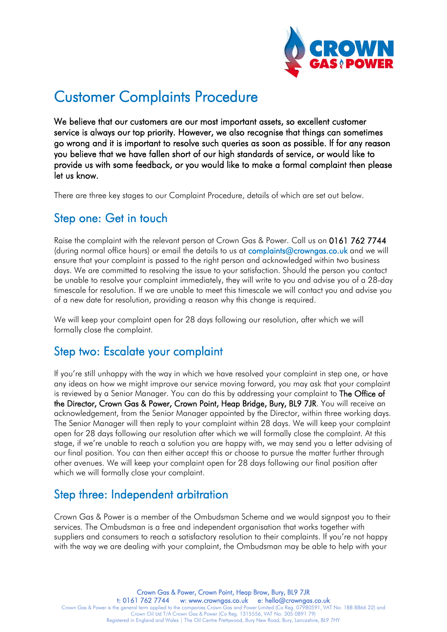

# Customer Complaints Procedure

We believe that our customers are our most important assets, so excellent customer service is always our top priority. However, we also recognise that things can sometimes go wrong and it is important to resolve such queries as soon as possible. If for any reason you believe that we have fallen short of our high standards of service, or would like to provide us with some feedback, or you would like to make a formal complaint then please let us know.

There are three key stages to our Complaint Procedure, details of which are set out below.

### Step one: Get in touch

Raise the complaint with the relevant person at Crown Gas & Power. Call us on 0161 762 7744 (during normal office hours) or email the details to us at [complaints@crowngas.co.uk](mailto:complaints@crowngas.co.uk) and we will ensure that your complaint is passed to the right person and acknowledged within two business days. We are committed to resolving the issue to your satisfaction. Should the person you contact be unable to resolve your complaint immediately, they will write to you and advise you of a 28-day timescale for resolution. If we are unable to meet this timescale we will contact you and advise you of a new date for resolution, providing a reason why this change is required.

We will keep your complaint open for 28 days following our resolution, after which we will formally close the complaint.

#### Step two: Escalate your complaint

If you're still unhappy with the way in which we have resolved your complaint in step one, or have any ideas on how we might improve our service moving forward, you may ask that your complaint is reviewed by a Senior Manager. You can do this by addressing your complaint to The Office of the Director, Crown Gas & Power, Crown Point, Heap Bridge, Bury, BL9 7JR. You will receive an acknowledgement, from the Senior Manager appointed by the Director, within three working days. The Senior Manager will then reply to your complaint within 28 days. We will keep your complaint open for 28 days following our resolution after which we will formally close the complaint. At this stage, if we're unable to reach a solution you are happy with, we may send you a letter advising of our final position. You can then either accept this or choose to pursue the matter further through other avenues. We will keep your complaint open for 28 days following our final position after which we will formally close your complaint.

## Step three: Independent arbitration

Crown Gas & Power is a member of the Ombudsman Scheme and we would signpost you to their services. The Ombudsman is a free and independent organisation that works together with suppliers and consumers to reach a satisfactory resolution to their complaints. If you're not happy with the way we are dealing with your complaint, the Ombudsman may be able to help with your